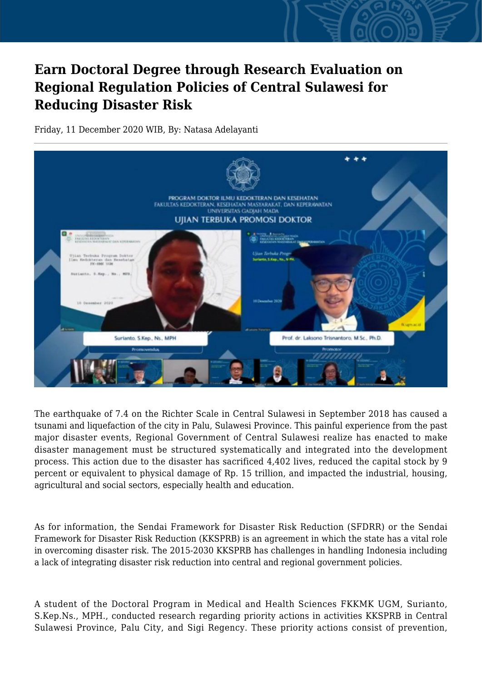## **Earn Doctoral Degree through Research Evaluation on Regional Regulation Policies of Central Sulawesi for Reducing Disaster Risk**

Friday, 11 December 2020 WIB, By: Natasa Adelayanti



The earthquake of 7.4 on the Richter Scale in Central Sulawesi in September 2018 has caused a tsunami and liquefaction of the city in Palu, Sulawesi Province. This painful experience from the past major disaster events, Regional Government of Central Sulawesi realize has enacted to make disaster management must be structured systematically and integrated into the development process. This action due to the disaster has sacrificed 4,402 lives, reduced the capital stock by 9 percent or equivalent to physical damage of Rp. 15 trillion, and impacted the industrial, housing, agricultural and social sectors, especially health and education.

As for information, the Sendai Framework for Disaster Risk Reduction (SFDRR) or the Sendai Framework for Disaster Risk Reduction (KKSPRB) is an agreement in which the state has a vital role in overcoming disaster risk. The 2015-2030 KKSPRB has challenges in handling Indonesia including a lack of integrating disaster risk reduction into central and regional government policies.

A student of the Doctoral Program in Medical and Health Sciences FKKMK UGM, Surianto, S.Kep.Ns., MPH., conducted research regarding priority actions in activities KKSPRB in Central Sulawesi Province, Palu City, and Sigi Regency. These priority actions consist of prevention,